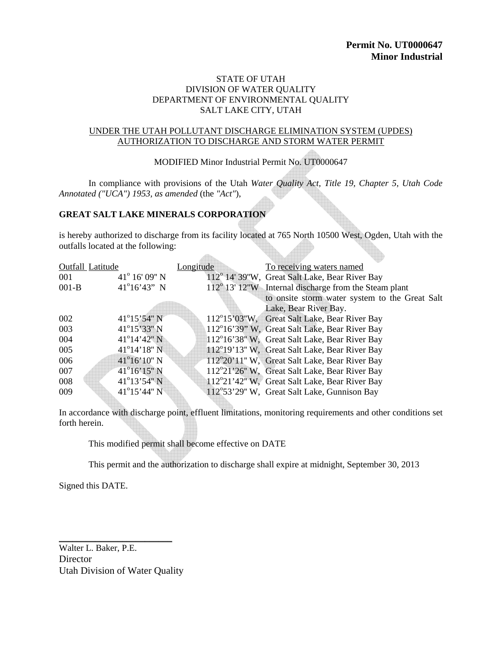#### STATE OF UTAH DIVISION OF WATER QUALITY DEPARTMENT OF ENVIRONMENTAL QUALITY SALT LAKE CITY, UTAH

#### UNDER THE UTAH POLLUTANT DISCHARGE ELIMINATION SYSTEM (UPDES) AUTHORIZATION TO DISCHARGE AND STORM WATER PERMIT

MODIFIED Minor Industrial Permit No. UT0000647

In compliance with provisions of the Utah *Water Quality Act, Title 19, Chapter 5, Utah Code Annotated ("UCA") 1953, as amended* (the *"Act"*),

# **GREAT SALT LAKE MINERALS CORPORATION**

is hereby authorized to discharge from its facility located at 765 North 10500 West, Ogden, Utah with the outfalls located at the following:

 $\triangle$ 

| Outfall Latitude |                        | Longitude | To receiving waters named                             |
|------------------|------------------------|-----------|-------------------------------------------------------|
| 001              | $41^{\circ}$ 16' 09" N |           | 112° 14′ 39″W, Great Salt Lake, Bear River Bay        |
| $001-B$          | $41^{\circ}16'43''$ N  |           | 112° 13' 12"W Internal discharge from the Steam plant |
|                  |                        |           | to onsite storm water system to the Great Salt        |
|                  |                        |           | Lake, Bear River Bay.                                 |
| 002              | $41^{\circ}15'54"$ N   |           | 112°15'03"W, Great Salt Lake, Bear River Bay          |
| 003              | 41°15'33" N            |           | 112°16'39" W, Great Salt Lake, Bear River Bay         |
| 004              | $41^{\circ}14'42''$ N  |           | 112°16'38" W, Great Salt Lake, Bear River Bay         |
| 005              | $41^{\circ}14'18''$ N  |           | 112°19'13" W. Great Salt Lake, Bear River Bay         |
| 006              | $41^{\circ}16'10''$ N  |           | 112°20'11" W, Great Salt Lake, Bear River Bay         |
| 007              | $41^{\circ}16'15''$ N  |           | 112°21'26" W, Great Salt Lake, Bear River Bay         |
| 008              | $41^{\circ}13'54"N$    |           | 112°21'42" W, Great Salt Lake, Bear River Bay         |
| 009              | $41^{\circ}15'44''$ N  |           | 112°53'29" W, Great Salt Lake, Gunnison Bay           |

In accordance with discharge point, effluent limitations, monitoring requirements and other conditions set forth herein.

This modified permit shall become effective on DATE

This permit and the authorization to discharge shall expire at midnight, September 30, 2013

Signed this DATE.

Walter L. Baker, P.E. **Director** Utah Division of Water Quality

\_\_\_\_\_\_\_\_\_\_\_\_\_\_\_\_\_\_\_\_\_\_\_\_\_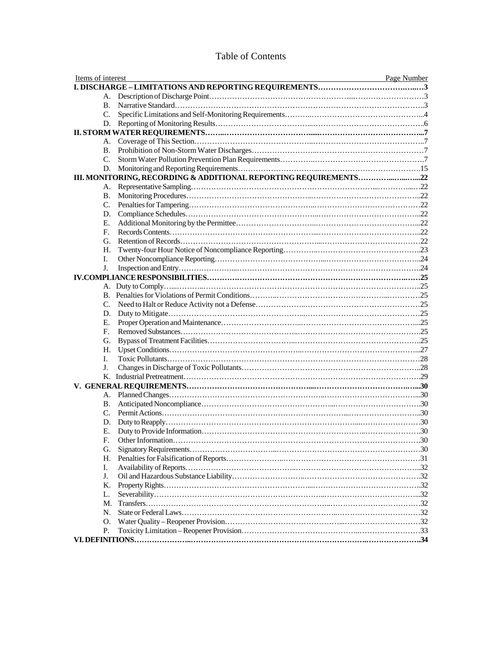| <b>Table of Contents</b> |  |
|--------------------------|--|
|--------------------------|--|

| Items of interest | Page Number |
|-------------------|-------------|
|                   |             |
|                   |             |
| B.                |             |
| C.                |             |
|                   |             |
|                   |             |
| А.                |             |
| B.                |             |
| C.                |             |
|                   |             |
|                   |             |
| А.                |             |
| В.                |             |
| $C_{\cdot}$       |             |
| D.                |             |
| Е.                |             |
| F.                |             |
| G.                |             |
| Н.                |             |
| L.                |             |
| J.                |             |
|                   |             |
|                   |             |
|                   |             |
| C.                |             |
|                   |             |
| Е.                |             |
| E.                |             |
| G.                |             |
| Н.                |             |
|                   |             |
| L.                |             |
| J.                |             |
|                   |             |
|                   |             |
|                   |             |
| В.                |             |
| C.                |             |
| D.                |             |
| Е.                |             |
| F.                |             |
| G.                |             |
| Н.                |             |
| I.                |             |
| J.                |             |
| К.                |             |
| L.                |             |
| М.                |             |
| N.                |             |
| O.                |             |
| Р.                |             |
|                   |             |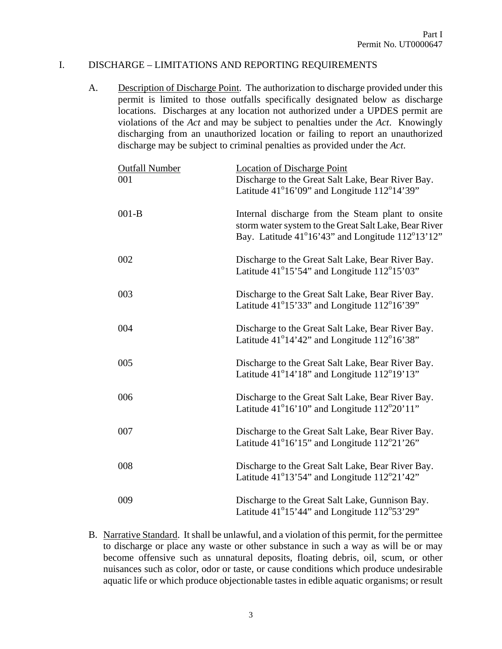### I. DISCHARGE – LIMITATIONS AND REPORTING REQUIREMENTS

A. Description of Discharge Point. The authorization to discharge provided under this permit is limited to those outfalls specifically designated below as discharge locations. Discharges at any location not authorized under a UPDES permit are violations of the *Act* and may be subject to penalties under the *Act*. Knowingly discharging from an unauthorized location or failing to report an unauthorized discharge may be subject to criminal penalties as provided under the *Act*.

| <b>Outfall Number</b><br>001 | <b>Location of Discharge Point</b><br>Discharge to the Great Salt Lake, Bear River Bay.<br>Latitude $41^{\circ}16'09''$ and Longitude $112^{\circ}14'39''$     |
|------------------------------|----------------------------------------------------------------------------------------------------------------------------------------------------------------|
| $001-B$                      | Internal discharge from the Steam plant to onsite<br>storm water system to the Great Salt Lake, Bear River<br>Bay. Latitude 41°16'43" and Longitude 112°13'12" |
| 002                          | Discharge to the Great Salt Lake, Bear River Bay.<br>Latitude $41^{\circ}15'54''$ and Longitude $112^{\circ}15'03''$                                           |
| 003                          | Discharge to the Great Salt Lake, Bear River Bay.<br>Latitude 41°15'33" and Longitude 112°16'39"                                                               |
| 004                          | Discharge to the Great Salt Lake, Bear River Bay.<br>Latitude 41°14'42" and Longitude 112°16'38"                                                               |
| 005                          | Discharge to the Great Salt Lake, Bear River Bay.<br>Latitude 41°14'18" and Longitude 112°19'13"                                                               |
| 006                          | Discharge to the Great Salt Lake, Bear River Bay.<br>Latitude 41°16'10" and Longitude 112°20'11"                                                               |
| 007                          | Discharge to the Great Salt Lake, Bear River Bay.<br>Latitude 41°16'15" and Longitude 112°21'26"                                                               |
| 008                          | Discharge to the Great Salt Lake, Bear River Bay.<br>Latitude $41^{\circ}13'54'$ and Longitude $112^{\circ}21'42''$                                            |
| 009                          | Discharge to the Great Salt Lake, Gunnison Bay.<br>Latitude $41^{\circ}15'44'$ and Longitude $112^{\circ}53'29''$                                              |

B. Narrative Standard. It shall be unlawful, and a violation of this permit, for the permittee to discharge or place any waste or other substance in such a way as will be or may become offensive such as unnatural deposits, floating debris, oil, scum, or other nuisances such as color, odor or taste, or cause conditions which produce undesirable aquatic life or which produce objectionable tastes in edible aquatic organisms; or result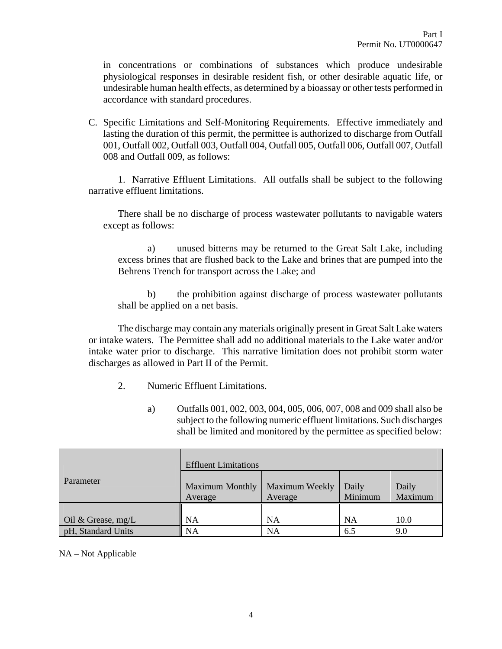in concentrations or combinations of substances which produce undesirable physiological responses in desirable resident fish, or other desirable aquatic life, or undesirable human health effects, as determined by a bioassay or other tests performed in accordance with standard procedures.

C. Specific Limitations and Self-Monitoring Requirements. Effective immediately and lasting the duration of this permit, the permittee is authorized to discharge from Outfall 001, Outfall 002, Outfall 003, Outfall 004, Outfall 005, Outfall 006, Outfall 007, Outfall 008 and Outfall 009, as follows:

1. Narrative Effluent Limitations. All outfalls shall be subject to the following narrative effluent limitations.

 There shall be no discharge of process wastewater pollutants to navigable waters except as follows:

 a) unused bitterns may be returned to the Great Salt Lake, including excess brines that are flushed back to the Lake and brines that are pumped into the Behrens Trench for transport across the Lake; and

 b) the prohibition against discharge of process wastewater pollutants shall be applied on a net basis.

The discharge may contain any materials originally present in Great Salt Lake waters or intake waters. The Permittee shall add no additional materials to the Lake water and/or intake water prior to discharge. This narrative limitation does not prohibit storm water discharges as allowed in Part II of the Permit.

- 2. Numeric Effluent Limitations.
	- a) Outfalls 001, 002, 003, 004, 005, 006, 007, 008 and 009 shall also be subject to the following numeric effluent limitations. Such discharges shall be limited and monitored by the permittee as specified below:

|                    | <b>Effluent Limitations</b>       |                           |                  |                  |
|--------------------|-----------------------------------|---------------------------|------------------|------------------|
| Parameter          | <b>Maximum Monthly</b><br>Average | Maximum Weekly<br>Average | Daily<br>Minimum | Daily<br>Maximum |
| Oil & Grease, mg/L | NA                                | NA                        | <b>NA</b>        | 10.0             |
| pH, Standard Units | <b>NA</b>                         | <b>NA</b>                 | 6.5              | 9.0              |

#### NA – Not Applicable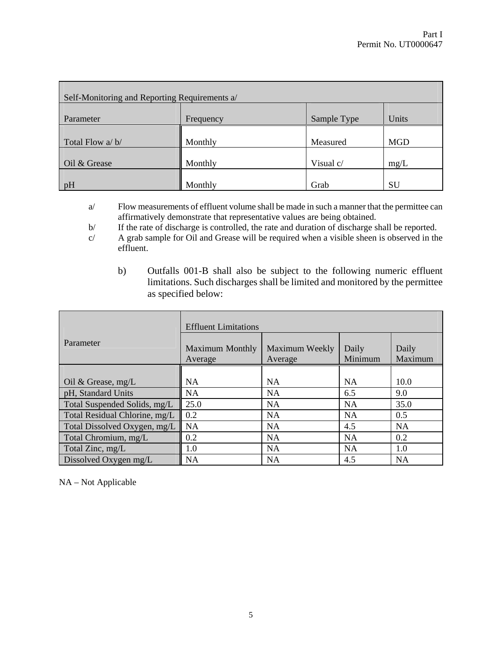| Self-Monitoring and Reporting Requirements a/ |           |             |            |
|-----------------------------------------------|-----------|-------------|------------|
| Parameter                                     | Frequency | Sample Type | Units      |
| Total Flow a/b/                               | Monthly   | Measured    | <b>MGD</b> |
| Oil & Grease                                  | Monthly   | Visual c/   | mg/L       |
| pH                                            | Monthly   | Grab        | SU         |

a/ Flow measurements of effluent volume shall be made in such a manner that the permittee can affirmatively demonstrate that representative values are being obtained.

b/ If the rate of discharge is controlled, the rate and duration of discharge shall be reported.

- c/ A grab sample for Oil and Grease will be required when a visible sheen is observed in the effluent.
	- b) Outfalls 001-B shall also be subject to the following numeric effluent limitations. Such discharges shall be limited and monitored by the permittee as specified below:

|                               | <b>Effluent Limitations</b>       |                           |                  |                  |
|-------------------------------|-----------------------------------|---------------------------|------------------|------------------|
| Parameter                     | <b>Maximum Monthly</b><br>Average | Maximum Weekly<br>Average | Daily<br>Minimum | Daily<br>Maximum |
|                               |                                   |                           |                  |                  |
| Oil & Grease, $mg/L$          | NA                                | NA                        | <b>NA</b>        | 10.0             |
| pH, Standard Units            | <b>NA</b>                         | <b>NA</b>                 | 6.5              | 9.0              |
| Total Suspended Solids, mg/L  | 25.0                              | <b>NA</b>                 | <b>NA</b>        | 35.0             |
| Total Residual Chlorine, mg/L | 0.2                               | <b>NA</b>                 | <b>NA</b>        | 0.5              |
| Total Dissolved Oxygen, mg/L  | <b>NA</b>                         | <b>NA</b>                 | 4.5              | <b>NA</b>        |
| Total Chromium, mg/L          | 0.2                               | <b>NA</b>                 | <b>NA</b>        | 0.2              |
| Total Zinc, mg/L              | 1.0                               | <b>NA</b>                 | <b>NA</b>        | 1.0              |
| Dissolved Oxygen mg/L         | <b>NA</b>                         | <b>NA</b>                 | 4.5              | <b>NA</b>        |

NA – Not Applicable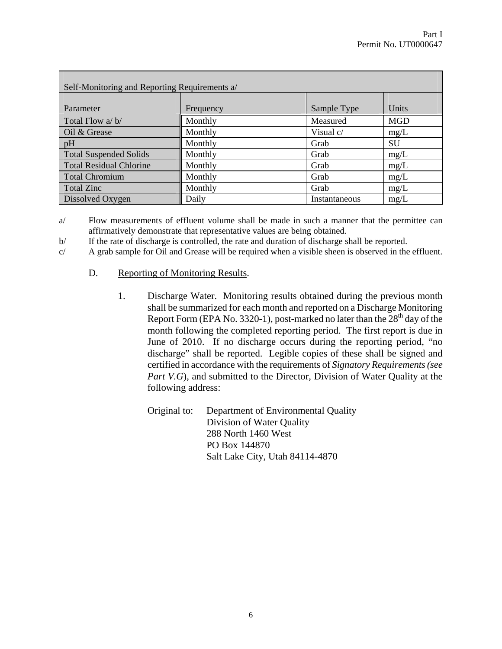| Self-Monitoring and Reporting Requirements a/ |           |               |            |
|-----------------------------------------------|-----------|---------------|------------|
| Parameter                                     | Frequency | Sample Type   | Units      |
| Total Flow a/b/                               | Monthly   | Measured      | <b>MGD</b> |
| Oil & Grease                                  | Monthly   | Visual c/     | mg/L       |
| pH                                            | Monthly   | Grab          | <b>SU</b>  |
| <b>Total Suspended Solids</b>                 | Monthly   | Grab          | mg/L       |
| <b>Total Residual Chlorine</b>                | Monthly   | Grab          | mg/L       |
| <b>Total Chromium</b>                         | Monthly   | Grab          | mg/L       |
| <b>Total Zinc</b>                             | Monthly   | Grab          | mg/L       |
| Dissolved Oxygen                              | Daily     | Instantaneous | mg/L       |

a/ Flow measurements of effluent volume shall be made in such a manner that the permittee can affirmatively demonstrate that representative values are being obtained.

b/ If the rate of discharge is controlled, the rate and duration of discharge shall be reported.

c/ A grab sample for Oil and Grease will be required when a visible sheen is observed in the effluent.

### D. Reporting of Monitoring Results.

1. Discharge Water. Monitoring results obtained during the previous month shall be summarized for each month and reported on a Discharge Monitoring Report Form (EPA No. 3320-1), post-marked no later than the  $28<sup>th</sup>$  day of the month following the completed reporting period. The first report is due in June of 2010. If no discharge occurs during the reporting period, "no discharge" shall be reported. Legible copies of these shall be signed and certified in accordance with the requirements of *Signatory Requirements (see Part V.G*), and submitted to the Director, Division of Water Quality at the following address:

Original to: Department of Environmental Quality Division of Water Quality 288 North 1460 West PO Box 144870 Salt Lake City, Utah 84114-4870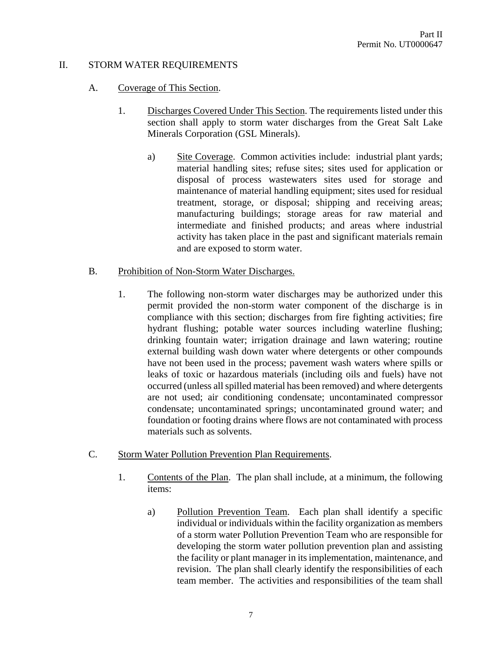# II. STORM WATER REQUIREMENTS

### A. Coverage of This Section.

- 1. Discharges Covered Under This Section. The requirements listed under this section shall apply to storm water discharges from the Great Salt Lake Minerals Corporation (GSL Minerals).
	- a) Site Coverage. Common activities include: industrial plant yards; material handling sites; refuse sites; sites used for application or disposal of process wastewaters sites used for storage and maintenance of material handling equipment; sites used for residual treatment, storage, or disposal; shipping and receiving areas; manufacturing buildings; storage areas for raw material and intermediate and finished products; and areas where industrial activity has taken place in the past and significant materials remain and are exposed to storm water.

### B. Prohibition of Non-Storm Water Discharges.

- 1. The following non-storm water discharges may be authorized under this permit provided the non-storm water component of the discharge is in compliance with this section; discharges from fire fighting activities; fire hydrant flushing; potable water sources including waterline flushing; drinking fountain water; irrigation drainage and lawn watering; routine external building wash down water where detergents or other compounds have not been used in the process; pavement wash waters where spills or leaks of toxic or hazardous materials (including oils and fuels) have not occurred (unless all spilled material has been removed) and where detergents are not used; air conditioning condensate; uncontaminated compressor condensate; uncontaminated springs; uncontaminated ground water; and foundation or footing drains where flows are not contaminated with process materials such as solvents.
- C. Storm Water Pollution Prevention Plan Requirements.
	- 1. Contents of the Plan. The plan shall include, at a minimum, the following items:
		- a) Pollution Prevention Team. Each plan shall identify a specific individual or individuals within the facility organization as members of a storm water Pollution Prevention Team who are responsible for developing the storm water pollution prevention plan and assisting the facility or plant manager in its implementation, maintenance, and revision. The plan shall clearly identify the responsibilities of each team member. The activities and responsibilities of the team shall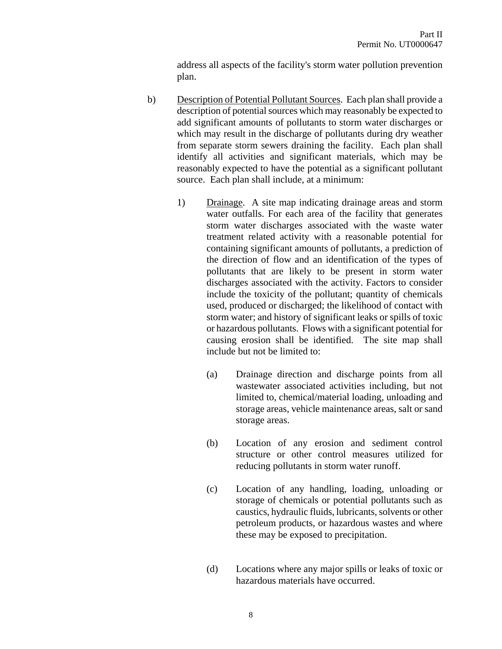address all aspects of the facility's storm water pollution prevention plan.

- b) Description of Potential Pollutant Sources. Each plan shall provide a description of potential sources which may reasonably be expected to add significant amounts of pollutants to storm water discharges or which may result in the discharge of pollutants during dry weather from separate storm sewers draining the facility. Each plan shall identify all activities and significant materials, which may be reasonably expected to have the potential as a significant pollutant source. Each plan shall include, at a minimum:
	- 1) Drainage. A site map indicating drainage areas and storm water outfalls. For each area of the facility that generates storm water discharges associated with the waste water treatment related activity with a reasonable potential for containing significant amounts of pollutants, a prediction of the direction of flow and an identification of the types of pollutants that are likely to be present in storm water discharges associated with the activity. Factors to consider include the toxicity of the pollutant; quantity of chemicals used, produced or discharged; the likelihood of contact with storm water; and history of significant leaks or spills of toxic or hazardous pollutants. Flows with a significant potential for causing erosion shall be identified. The site map shall include but not be limited to:
		- (a) Drainage direction and discharge points from all wastewater associated activities including, but not limited to, chemical/material loading, unloading and storage areas, vehicle maintenance areas, salt or sand storage areas.
		- (b) Location of any erosion and sediment control structure or other control measures utilized for reducing pollutants in storm water runoff.
		- (c) Location of any handling, loading, unloading or storage of chemicals or potential pollutants such as caustics, hydraulic fluids, lubricants, solvents or other petroleum products, or hazardous wastes and where these may be exposed to precipitation.
		- (d) Locations where any major spills or leaks of toxic or hazardous materials have occurred.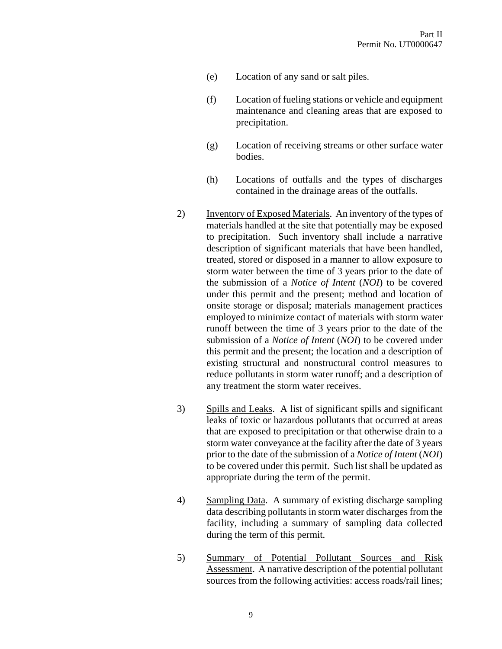- (e) Location of any sand or salt piles.
- (f) Location of fueling stations or vehicle and equipment maintenance and cleaning areas that are exposed to precipitation.
- (g) Location of receiving streams or other surface water bodies.
- (h) Locations of outfalls and the types of discharges contained in the drainage areas of the outfalls.
- 2) Inventory of Exposed Materials. An inventory of the types of materials handled at the site that potentially may be exposed to precipitation. Such inventory shall include a narrative description of significant materials that have been handled, treated, stored or disposed in a manner to allow exposure to storm water between the time of 3 years prior to the date of the submission of a *Notice of Intent* (*NOI*) to be covered under this permit and the present; method and location of onsite storage or disposal; materials management practices employed to minimize contact of materials with storm water runoff between the time of 3 years prior to the date of the submission of a *Notice of Intent* (*NOI*) to be covered under this permit and the present; the location and a description of existing structural and nonstructural control measures to reduce pollutants in storm water runoff; and a description of any treatment the storm water receives.
- 3) Spills and Leaks. A list of significant spills and significant leaks of toxic or hazardous pollutants that occurred at areas that are exposed to precipitation or that otherwise drain to a storm water conveyance at the facility after the date of 3 years prior to the date of the submission of a *Notice of Intent* (*NOI*) to be covered under this permit. Such list shall be updated as appropriate during the term of the permit.
- 4) Sampling Data. A summary of existing discharge sampling data describing pollutants in storm water discharges from the facility, including a summary of sampling data collected during the term of this permit.
- 5) Summary of Potential Pollutant Sources and Risk Assessment. A narrative description of the potential pollutant sources from the following activities: access roads/rail lines;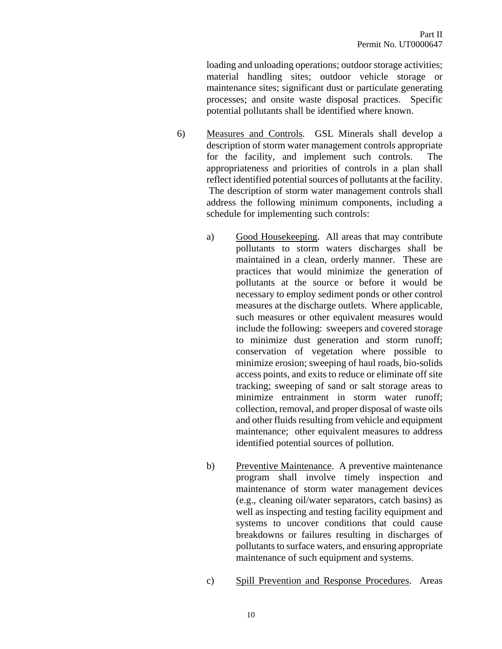loading and unloading operations; outdoor storage activities; material handling sites; outdoor vehicle storage or maintenance sites; significant dust or particulate generating processes; and onsite waste disposal practices. Specific potential pollutants shall be identified where known.

- 6) Measures and Controls. GSL Minerals shall develop a description of storm water management controls appropriate for the facility, and implement such controls. The appropriateness and priorities of controls in a plan shall reflect identified potential sources of pollutants at the facility. The description of storm water management controls shall address the following minimum components, including a schedule for implementing such controls:
	- a) Good Housekeeping. All areas that may contribute pollutants to storm waters discharges shall be maintained in a clean, orderly manner. These are practices that would minimize the generation of pollutants at the source or before it would be necessary to employ sediment ponds or other control measures at the discharge outlets. Where applicable, such measures or other equivalent measures would include the following: sweepers and covered storage to minimize dust generation and storm runoff; conservation of vegetation where possible to minimize erosion; sweeping of haul roads, bio-solids access points, and exits to reduce or eliminate off site tracking; sweeping of sand or salt storage areas to minimize entrainment in storm water runoff; collection, removal, and proper disposal of waste oils and other fluids resulting from vehicle and equipment maintenance; other equivalent measures to address identified potential sources of pollution.
	- b) Preventive Maintenance. A preventive maintenance program shall involve timely inspection and maintenance of storm water management devices (e.g., cleaning oil/water separators, catch basins) as well as inspecting and testing facility equipment and systems to uncover conditions that could cause breakdowns or failures resulting in discharges of pollutants to surface waters, and ensuring appropriate maintenance of such equipment and systems.
	- c) Spill Prevention and Response Procedures. Areas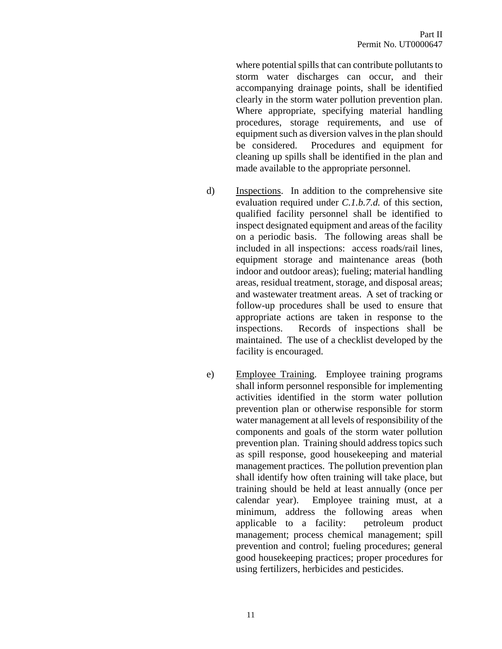where potential spills that can contribute pollutants to storm water discharges can occur, and their accompanying drainage points, shall be identified clearly in the storm water pollution prevention plan. Where appropriate, specifying material handling procedures, storage requirements, and use of equipment such as diversion valves in the plan should be considered. Procedures and equipment for cleaning up spills shall be identified in the plan and made available to the appropriate personnel.

- d) Inspections. In addition to the comprehensive site evaluation required under *C.1.b.7.d.* of this section, qualified facility personnel shall be identified to inspect designated equipment and areas of the facility on a periodic basis. The following areas shall be included in all inspections: access roads/rail lines, equipment storage and maintenance areas (both indoor and outdoor areas); fueling; material handling areas, residual treatment, storage, and disposal areas; and wastewater treatment areas. A set of tracking or follow-up procedures shall be used to ensure that appropriate actions are taken in response to the inspections. Records of inspections shall be maintained. The use of a checklist developed by the facility is encouraged.
- e) Employee Training. Employee training programs shall inform personnel responsible for implementing activities identified in the storm water pollution prevention plan or otherwise responsible for storm water management at all levels of responsibility of the components and goals of the storm water pollution prevention plan. Training should address topics such as spill response, good housekeeping and material management practices. The pollution prevention plan shall identify how often training will take place, but training should be held at least annually (once per calendar year). Employee training must, at a minimum, address the following areas when applicable to a facility: petroleum product management; process chemical management; spill prevention and control; fueling procedures; general good housekeeping practices; proper procedures for using fertilizers, herbicides and pesticides.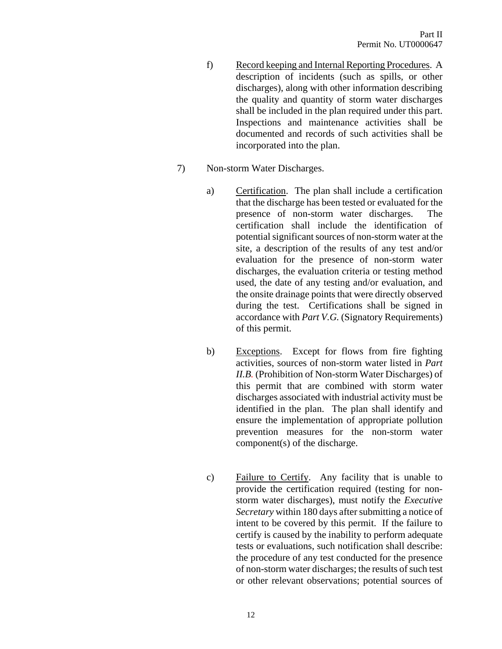- f) Record keeping and Internal Reporting Procedures. A description of incidents (such as spills, or other discharges), along with other information describing the quality and quantity of storm water discharges shall be included in the plan required under this part. Inspections and maintenance activities shall be documented and records of such activities shall be incorporated into the plan.
- 7) Non-storm Water Discharges.
	- a) Certification. The plan shall include a certification that the discharge has been tested or evaluated for the presence of non-storm water discharges. The certification shall include the identification of potential significant sources of non-storm water at the site, a description of the results of any test and/or evaluation for the presence of non-storm water discharges, the evaluation criteria or testing method used, the date of any testing and/or evaluation, and the onsite drainage points that were directly observed during the test. Certifications shall be signed in accordance with *Part V.G.* (Signatory Requirements) of this permit.
	- b) Exceptions. Except for flows from fire fighting activities, sources of non-storm water listed in *Part II.B.* (Prohibition of Non-storm Water Discharges) of this permit that are combined with storm water discharges associated with industrial activity must be identified in the plan. The plan shall identify and ensure the implementation of appropriate pollution prevention measures for the non-storm water component(s) of the discharge.
	- c) Failure to Certify. Any facility that is unable to provide the certification required (testing for nonstorm water discharges), must notify the *Executive Secretary* within 180 days after submitting a notice of intent to be covered by this permit. If the failure to certify is caused by the inability to perform adequate tests or evaluations, such notification shall describe: the procedure of any test conducted for the presence of non-storm water discharges; the results of such test or other relevant observations; potential sources of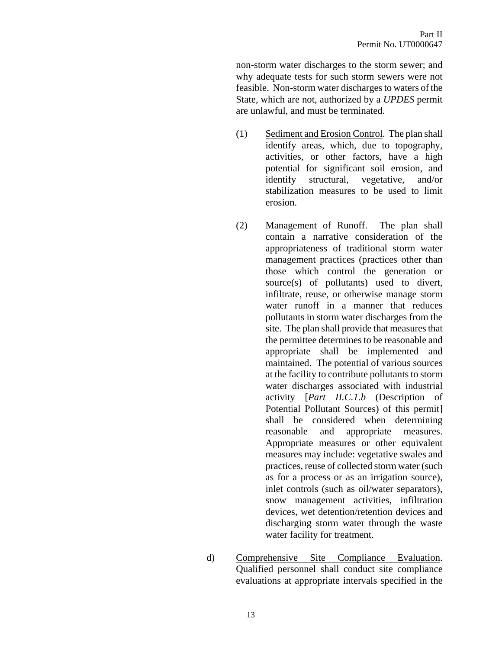non-storm water discharges to the storm sewer; and why adequate tests for such storm sewers were not feasible. Non-storm water discharges to waters of the State, which are not, authorized by a *UPDES* permit are unlawful, and must be terminated.

- (1) Sediment and Erosion Control. The plan shall identify areas, which, due to topography, activities, or other factors, have a high potential for significant soil erosion, and identify structural, vegetative, and/or stabilization measures to be used to limit erosion.
- (2) Management of Runoff. The plan shall contain a narrative consideration of the appropriateness of traditional storm water management practices (practices other than those which control the generation or source(s) of pollutants) used to divert, infiltrate, reuse, or otherwise manage storm water runoff in a manner that reduces pollutants in storm water discharges from the site. The plan shall provide that measures that the permittee determines to be reasonable and appropriate shall be implemented and maintained. The potential of various sources at the facility to contribute pollutants to storm water discharges associated with industrial activity [*Part II.C.1.b* (Description of Potential Pollutant Sources) of this permit] shall be considered when determining reasonable and appropriate measures. Appropriate measures or other equivalent measures may include: vegetative swales and practices, reuse of collected storm water (such as for a process or as an irrigation source), inlet controls (such as oil/water separators), snow management activities, infiltration devices, wet detention/retention devices and discharging storm water through the waste water facility for treatment.
- d) Comprehensive Site Compliance Evaluation. Qualified personnel shall conduct site compliance evaluations at appropriate intervals specified in the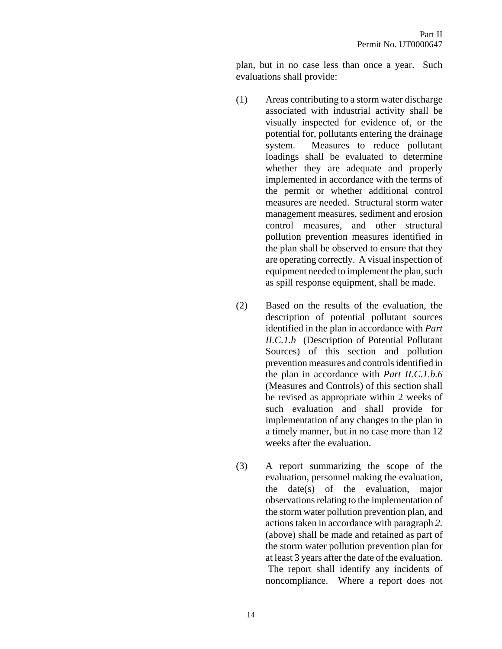plan, but in no case less than once a year. Such evaluations shall provide:

- (1) Areas contributing to a storm water discharge associated with industrial activity shall be visually inspected for evidence of, or the potential for, pollutants entering the drainage system. Measures to reduce pollutant loadings shall be evaluated to determine whether they are adequate and properly implemented in accordance with the terms of the permit or whether additional control measures are needed. Structural storm water management measures, sediment and erosion control measures, and other structural pollution prevention measures identified in the plan shall be observed to ensure that they are operating correctly. A visual inspection of equipment needed to implement the plan, such as spill response equipment, shall be made.
- (2) Based on the results of the evaluation, the description of potential pollutant sources identified in the plan in accordance with *Part II.C.1.b* (Description of Potential Pollutant Sources) of this section and pollution prevention measures and controls identified in the plan in accordance with *Part II.C.1.b.6* (Measures and Controls) of this section shall be revised as appropriate within 2 weeks of such evaluation and shall provide for implementation of any changes to the plan in a timely manner, but in no case more than 12 weeks after the evaluation.
- (3) A report summarizing the scope of the evaluation, personnel making the evaluation, the date(s) of the evaluation, major observations relating to the implementation of the storm water pollution prevention plan, and actions taken in accordance with paragraph *2.*  (above) shall be made and retained as part of the storm water pollution prevention plan for at least 3 years after the date of the evaluation. The report shall identify any incidents of noncompliance. Where a report does not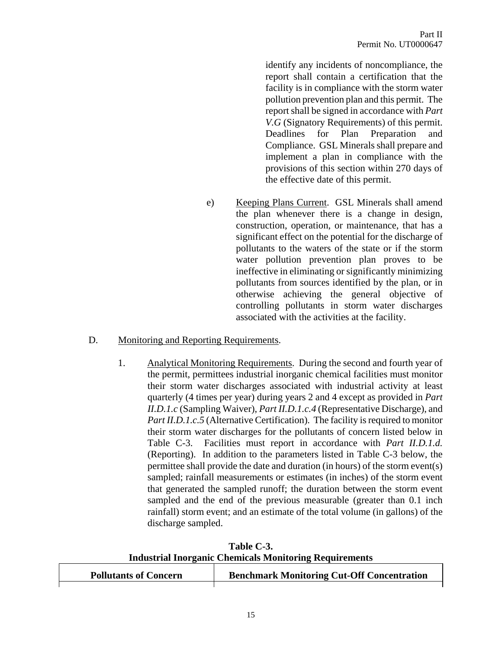identify any incidents of noncompliance, the report shall contain a certification that the facility is in compliance with the storm water pollution prevention plan and this permit. The report shall be signed in accordance with *Part V.G* (Signatory Requirements) of this permit. Deadlines for Plan Preparation and Compliance. GSL Minerals shall prepare and implement a plan in compliance with the provisions of this section within 270 days of the effective date of this permit.

e) Keeping Plans Current. GSL Minerals shall amend the plan whenever there is a change in design, construction, operation, or maintenance, that has a significant effect on the potential for the discharge of pollutants to the waters of the state or if the storm water pollution prevention plan proves to be ineffective in eliminating or significantly minimizing pollutants from sources identified by the plan, or in otherwise achieving the general objective of controlling pollutants in storm water discharges associated with the activities at the facility.

#### D. Monitoring and Reporting Requirements.

1. Analytical Monitoring Requirements. During the second and fourth year of the permit, permittees industrial inorganic chemical facilities must monitor their storm water discharges associated with industrial activity at least quarterly (4 times per year) during years 2 and 4 except as provided in *Part II.D.1.c* (Sampling Waiver), *Part II.D.1.c.4* (Representative Discharge), and *Part II.D.1.c.5* (Alternative Certification). The facility is required to monitor their storm water discharges for the pollutants of concern listed below in Table C-3. Facilities must report in accordance with *Part II.D.1.d.* (Reporting). In addition to the parameters listed in Table C-3 below, the permittee shall provide the date and duration (in hours) of the storm event(s) sampled; rainfall measurements or estimates (in inches) of the storm event that generated the sampled runoff; the duration between the storm event sampled and the end of the previous measurable (greater than 0.1 inch rainfall) storm event; and an estimate of the total volume (in gallons) of the discharge sampled.

**Table C-3. Industrial Inorganic Chemicals Monitoring Requirements**

| <b>Pollutants of Concern</b> | <b>Benchmark Monitoring Cut-Off Concentration</b> |
|------------------------------|---------------------------------------------------|
|                              |                                                   |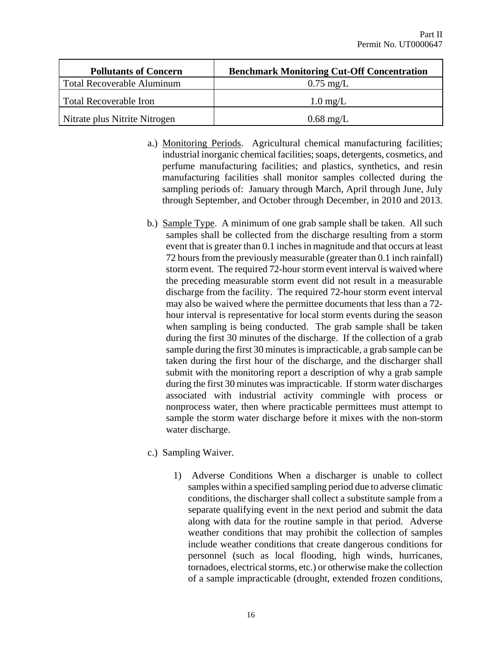| <b>Pollutants of Concern</b>  | <b>Benchmark Monitoring Cut-Off Concentration</b> |
|-------------------------------|---------------------------------------------------|
| Total Recoverable Aluminum    | $0.75 \text{ mg/L}$                               |
| Total Recoverable Iron        | $1.0 \text{ mg/L}$                                |
| Nitrate plus Nitrite Nitrogen | $0.68 \text{ mg/L}$                               |

- a.) Monitoring Periods. Agricultural chemical manufacturing facilities; industrial inorganic chemical facilities; soaps, detergents, cosmetics, and perfume manufacturing facilities; and plastics, synthetics, and resin manufacturing facilities shall monitor samples collected during the sampling periods of: January through March, April through June, July through September, and October through December, in 2010 and 2013.
- b.) Sample Type. A minimum of one grab sample shall be taken. All such samples shall be collected from the discharge resulting from a storm event that is greater than 0.1 inches in magnitude and that occurs at least 72 hours from the previously measurable (greater than 0.1 inch rainfall) storm event. The required 72-hour storm event interval is waived where the preceding measurable storm event did not result in a measurable discharge from the facility. The required 72-hour storm event interval may also be waived where the permittee documents that less than a 72 hour interval is representative for local storm events during the season when sampling is being conducted. The grab sample shall be taken during the first 30 minutes of the discharge. If the collection of a grab sample during the first 30 minutes is impracticable, a grab sample can be taken during the first hour of the discharge, and the discharger shall submit with the monitoring report a description of why a grab sample during the first 30 minutes was impracticable. If storm water discharges associated with industrial activity commingle with process or nonprocess water, then where practicable permittees must attempt to sample the storm water discharge before it mixes with the non-storm water discharge.
- c.) Sampling Waiver.
	- 1) Adverse Conditions When a discharger is unable to collect samples within a specified sampling period due to adverse climatic conditions, the discharger shall collect a substitute sample from a separate qualifying event in the next period and submit the data along with data for the routine sample in that period. Adverse weather conditions that may prohibit the collection of samples include weather conditions that create dangerous conditions for personnel (such as local flooding, high winds, hurricanes, tornadoes, electrical storms, etc.) or otherwise make the collection of a sample impracticable (drought, extended frozen conditions,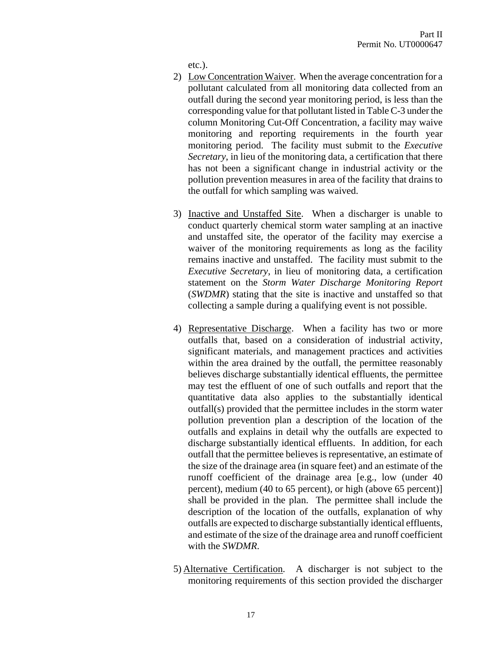etc.).

- 2) Low Concentration Waiver. When the average concentration for a pollutant calculated from all monitoring data collected from an outfall during the second year monitoring period, is less than the corresponding value for that pollutant listed in Table C-3 under the column Monitoring Cut-Off Concentration, a facility may waive monitoring and reporting requirements in the fourth year monitoring period. The facility must submit to the *Executive Secretary*, in lieu of the monitoring data, a certification that there has not been a significant change in industrial activity or the pollution prevention measures in area of the facility that drains to the outfall for which sampling was waived.
- 3) Inactive and Unstaffed Site. When a discharger is unable to conduct quarterly chemical storm water sampling at an inactive and unstaffed site, the operator of the facility may exercise a waiver of the monitoring requirements as long as the facility remains inactive and unstaffed. The facility must submit to the *Executive Secretary*, in lieu of monitoring data, a certification statement on the *Storm Water Discharge Monitoring Report* (*SWDMR*) stating that the site is inactive and unstaffed so that collecting a sample during a qualifying event is not possible.
- 4) Representative Discharge. When a facility has two or more outfalls that, based on a consideration of industrial activity, significant materials, and management practices and activities within the area drained by the outfall, the permittee reasonably believes discharge substantially identical effluents, the permittee may test the effluent of one of such outfalls and report that the quantitative data also applies to the substantially identical outfall(s) provided that the permittee includes in the storm water pollution prevention plan a description of the location of the outfalls and explains in detail why the outfalls are expected to discharge substantially identical effluents. In addition, for each outfall that the permittee believes is representative, an estimate of the size of the drainage area (in square feet) and an estimate of the runoff coefficient of the drainage area [e.g., low (under 40 percent), medium (40 to 65 percent), or high (above 65 percent)] shall be provided in the plan. The permittee shall include the description of the location of the outfalls, explanation of why outfalls are expected to discharge substantially identical effluents, and estimate of the size of the drainage area and runoff coefficient with the *SWDMR*.
- 5) Alternative Certification. A discharger is not subject to the monitoring requirements of this section provided the discharger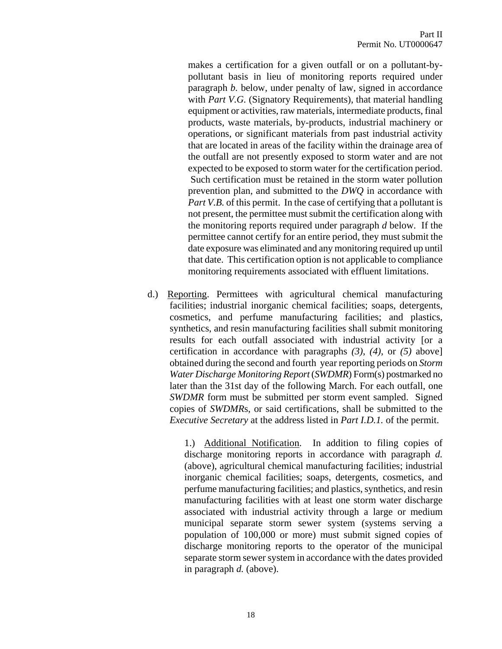makes a certification for a given outfall or on a pollutant-bypollutant basis in lieu of monitoring reports required under paragraph *b.* below, under penalty of law, signed in accordance with *Part V.G.* (Signatory Requirements), that material handling equipment or activities, raw materials, intermediate products, final products, waste materials, by-products, industrial machinery or operations, or significant materials from past industrial activity that are located in areas of the facility within the drainage area of the outfall are not presently exposed to storm water and are not expected to be exposed to storm water for the certification period. Such certification must be retained in the storm water pollution prevention plan, and submitted to the *DWQ* in accordance with *Part V.B.* of this permit. In the case of certifying that a pollutant is not present, the permittee must submit the certification along with the monitoring reports required under paragraph *d* below. If the permittee cannot certify for an entire period, they must submit the date exposure was eliminated and any monitoring required up until that date. This certification option is not applicable to compliance monitoring requirements associated with effluent limitations.

d.) Reporting. Permittees with agricultural chemical manufacturing facilities; industrial inorganic chemical facilities; soaps, detergents, cosmetics, and perfume manufacturing facilities; and plastics, synthetics, and resin manufacturing facilities shall submit monitoring results for each outfall associated with industrial activity [or a certification in accordance with paragraphs *(3)*, *(4)*, or *(5)* above] obtained during the second and fourth year reporting periods on *Storm Water Discharge Monitoring Report* (*SWDMR*) Form(s) postmarked no later than the 31st day of the following March. For each outfall, one *SWDMR* form must be submitted per storm event sampled. Signed copies of *SWDMR*s, or said certifications, shall be submitted to the *Executive Secretary* at the address listed in *Part I.D.1.* of the permit.

> 1.) Additional Notification. In addition to filing copies of discharge monitoring reports in accordance with paragraph *d.* (above), agricultural chemical manufacturing facilities; industrial inorganic chemical facilities; soaps, detergents, cosmetics, and perfume manufacturing facilities; and plastics, synthetics, and resin manufacturing facilities with at least one storm water discharge associated with industrial activity through a large or medium municipal separate storm sewer system (systems serving a population of 100,000 or more) must submit signed copies of discharge monitoring reports to the operator of the municipal separate storm sewer system in accordance with the dates provided in paragraph *d.* (above).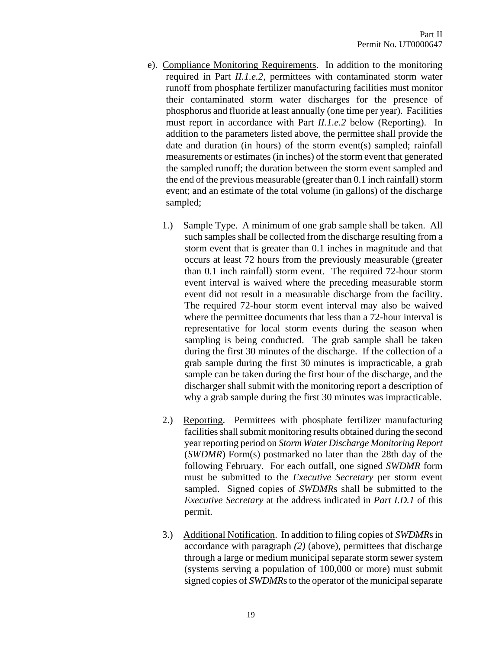- e). Compliance Monitoring Requirements. In addition to the monitoring required in Part *II.1.e.2*, permittees with contaminated storm water runoff from phosphate fertilizer manufacturing facilities must monitor their contaminated storm water discharges for the presence of phosphorus and fluoride at least annually (one time per year). Facilities must report in accordance with Part *II.1.e.2* below (Reporting). In addition to the parameters listed above, the permittee shall provide the date and duration (in hours) of the storm event(s) sampled; rainfall measurements or estimates (in inches) of the storm event that generated the sampled runoff; the duration between the storm event sampled and the end of the previous measurable (greater than 0.1 inch rainfall) storm event; and an estimate of the total volume (in gallons) of the discharge sampled;
	- 1.) Sample Type. A minimum of one grab sample shall be taken. All such samples shall be collected from the discharge resulting from a storm event that is greater than 0.1 inches in magnitude and that occurs at least 72 hours from the previously measurable (greater than 0.1 inch rainfall) storm event. The required 72-hour storm event interval is waived where the preceding measurable storm event did not result in a measurable discharge from the facility. The required 72-hour storm event interval may also be waived where the permittee documents that less than a 72-hour interval is representative for local storm events during the season when sampling is being conducted. The grab sample shall be taken during the first 30 minutes of the discharge. If the collection of a grab sample during the first 30 minutes is impracticable, a grab sample can be taken during the first hour of the discharge, and the discharger shall submit with the monitoring report a description of why a grab sample during the first 30 minutes was impracticable.
	- 2.) Reporting. Permittees with phosphate fertilizer manufacturing facilities shall submit monitoring results obtained during the second year reporting period on *Storm Water Discharge Monitoring Report* (*SWDMR*) Form(s) postmarked no later than the 28th day of the following February. For each outfall, one signed *SWDMR* form must be submitted to the *Executive Secretary* per storm event sampled. Signed copies of *SWDMR*s shall be submitted to the *Executive Secretary* at the address indicated in *Part I.D.1* of this permit.
	- 3.) Additional Notification. In addition to filing copies of *SWDMR*s in accordance with paragraph *(2)* (above), permittees that discharge through a large or medium municipal separate storm sewer system (systems serving a population of 100,000 or more) must submit signed copies of *SWDMR*s to the operator of the municipal separate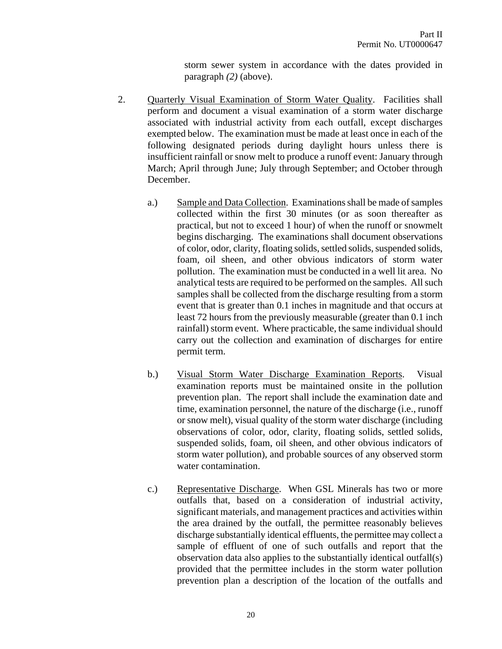storm sewer system in accordance with the dates provided in paragraph *(2)* (above).

- 2. Quarterly Visual Examination of Storm Water Quality. Facilities shall perform and document a visual examination of a storm water discharge associated with industrial activity from each outfall, except discharges exempted below. The examination must be made at least once in each of the following designated periods during daylight hours unless there is insufficient rainfall or snow melt to produce a runoff event: January through March; April through June; July through September; and October through December.
	- a.) Sample and Data Collection. Examinations shall be made of samples collected within the first 30 minutes (or as soon thereafter as practical, but not to exceed 1 hour) of when the runoff or snowmelt begins discharging. The examinations shall document observations of color, odor, clarity, floating solids, settled solids, suspended solids, foam, oil sheen, and other obvious indicators of storm water pollution. The examination must be conducted in a well lit area. No analytical tests are required to be performed on the samples. All such samples shall be collected from the discharge resulting from a storm event that is greater than 0.1 inches in magnitude and that occurs at least 72 hours from the previously measurable (greater than 0.1 inch rainfall) storm event. Where practicable, the same individual should carry out the collection and examination of discharges for entire permit term.
	- b.) Visual Storm Water Discharge Examination Reports. Visual examination reports must be maintained onsite in the pollution prevention plan. The report shall include the examination date and time, examination personnel, the nature of the discharge (i.e., runoff or snow melt), visual quality of the storm water discharge (including observations of color, odor, clarity, floating solids, settled solids, suspended solids, foam, oil sheen, and other obvious indicators of storm water pollution), and probable sources of any observed storm water contamination.
	- c.) Representative Discharge. When GSL Minerals has two or more outfalls that, based on a consideration of industrial activity, significant materials, and management practices and activities within the area drained by the outfall, the permittee reasonably believes discharge substantially identical effluents, the permittee may collect a sample of effluent of one of such outfalls and report that the observation data also applies to the substantially identical outfall(s) provided that the permittee includes in the storm water pollution prevention plan a description of the location of the outfalls and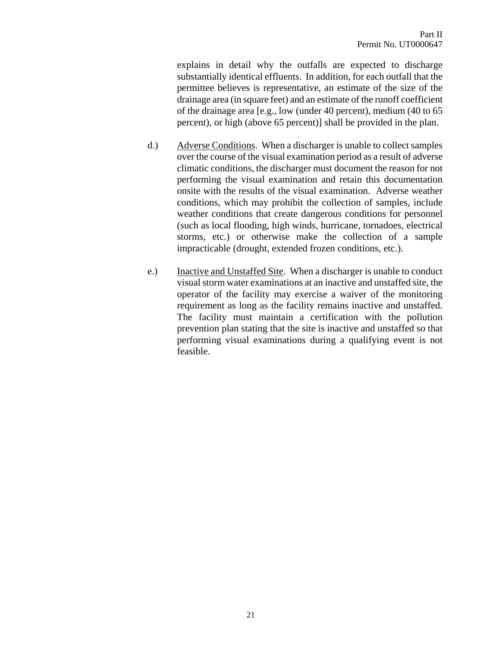explains in detail why the outfalls are expected to discharge substantially identical effluents. In addition, for each outfall that the permittee believes is representative, an estimate of the size of the drainage area (in square feet) and an estimate of the runoff coefficient of the drainage area [e.g., low (under 40 percent), medium (40 to 65 percent), or high (above 65 percent)] shall be provided in the plan.

- d.) Adverse Conditions. When a discharger is unable to collect samples over the course of the visual examination period as a result of adverse climatic conditions, the discharger must document the reason for not performing the visual examination and retain this documentation onsite with the results of the visual examination. Adverse weather conditions, which may prohibit the collection of samples, include weather conditions that create dangerous conditions for personnel (such as local flooding, high winds, hurricane, tornadoes, electrical storms, etc.) or otherwise make the collection of a sample impracticable (drought, extended frozen conditions, etc.).
- e.) Inactive and Unstaffed Site. When a discharger is unable to conduct visual storm water examinations at an inactive and unstaffed site, the operator of the facility may exercise a waiver of the monitoring requirement as long as the facility remains inactive and unstaffed. The facility must maintain a certification with the pollution prevention plan stating that the site is inactive and unstaffed so that performing visual examinations during a qualifying event is not feasible.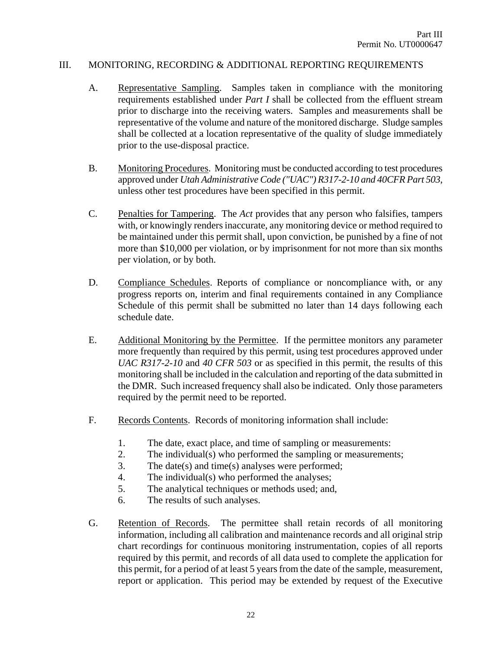#### III. MONITORING, RECORDING & ADDITIONAL REPORTING REQUIREMENTS

- A. Representative Sampling. Samples taken in compliance with the monitoring requirements established under *Part I* shall be collected from the effluent stream prior to discharge into the receiving waters. Samples and measurements shall be representative of the volume and nature of the monitored discharge. Sludge samples shall be collected at a location representative of the quality of sludge immediately prior to the use-disposal practice.
- B. Monitoring Procedures. Monitoring must be conducted according to test procedures approved under *Utah Administrative Code ("UAC") R317-2-10 and 40CFR Part 503*, unless other test procedures have been specified in this permit.
- C. Penalties for Tampering. The *Act* provides that any person who falsifies, tampers with, or knowingly renders inaccurate, any monitoring device or method required to be maintained under this permit shall, upon conviction, be punished by a fine of not more than \$10,000 per violation, or by imprisonment for not more than six months per violation, or by both.
- D. Compliance Schedules. Reports of compliance or noncompliance with, or any progress reports on, interim and final requirements contained in any Compliance Schedule of this permit shall be submitted no later than 14 days following each schedule date.
- E. Additional Monitoring by the Permittee. If the permittee monitors any parameter more frequently than required by this permit, using test procedures approved under *UAC R317-2-10* and *40 CFR 503* or as specified in this permit, the results of this monitoring shall be included in the calculation and reporting of the data submitted in the DMR. Such increased frequency shall also be indicated. Only those parameters required by the permit need to be reported.
- F. Records Contents. Records of monitoring information shall include:
	- 1. The date, exact place, and time of sampling or measurements:
	- 2. The individual(s) who performed the sampling or measurements;
	- 3. The date(s) and time(s) analyses were performed;
	- 4. The individual(s) who performed the analyses;
	- 5. The analytical techniques or methods used; and,
	- 6. The results of such analyses.
- G. Retention of Records. The permittee shall retain records of all monitoring information, including all calibration and maintenance records and all original strip chart recordings for continuous monitoring instrumentation, copies of all reports required by this permit, and records of all data used to complete the application for this permit, for a period of at least 5 years from the date of the sample, measurement, report or application. This period may be extended by request of the Executive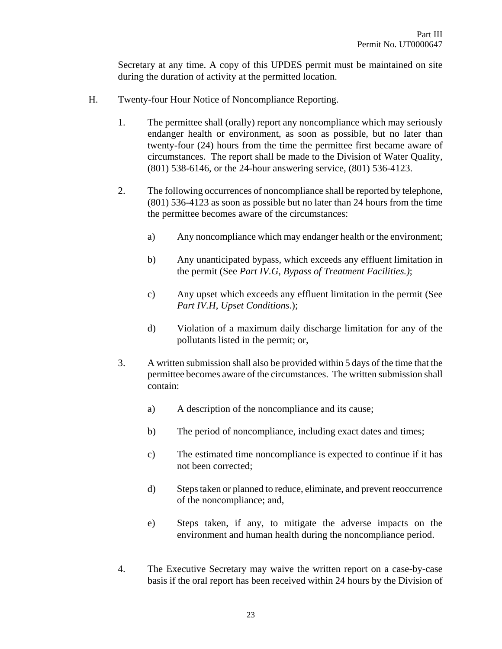Secretary at any time. A copy of this UPDES permit must be maintained on site during the duration of activity at the permitted location.

- H. Twenty-four Hour Notice of Noncompliance Reporting.
	- 1. The permittee shall (orally) report any noncompliance which may seriously endanger health or environment, as soon as possible, but no later than twenty-four (24) hours from the time the permittee first became aware of circumstances. The report shall be made to the Division of Water Quality, (801) 538-6146, or the 24-hour answering service, (801) 536-4123.
	- 2. The following occurrences of noncompliance shall be reported by telephone, (801) 536-4123 as soon as possible but no later than 24 hours from the time the permittee becomes aware of the circumstances:
		- a) Any noncompliance which may endanger health or the environment;
		- b) Any unanticipated bypass, which exceeds any effluent limitation in the permit (See *Part IV.G, Bypass of Treatment Facilities.)*;
		- c) Any upset which exceeds any effluent limitation in the permit (See *Part IV.H*, *Upset Conditions*.);
		- d) Violation of a maximum daily discharge limitation for any of the pollutants listed in the permit; or,
	- 3. A written submission shall also be provided within 5 days of the time that the permittee becomes aware of the circumstances. The written submission shall contain:
		- a) A description of the noncompliance and its cause;
		- b) The period of noncompliance, including exact dates and times;
		- c) The estimated time noncompliance is expected to continue if it has not been corrected;
		- d) Steps taken or planned to reduce, eliminate, and prevent reoccurrence of the noncompliance; and,
		- e) Steps taken, if any, to mitigate the adverse impacts on the environment and human health during the noncompliance period.
	- 4. The Executive Secretary may waive the written report on a case-by-case basis if the oral report has been received within 24 hours by the Division of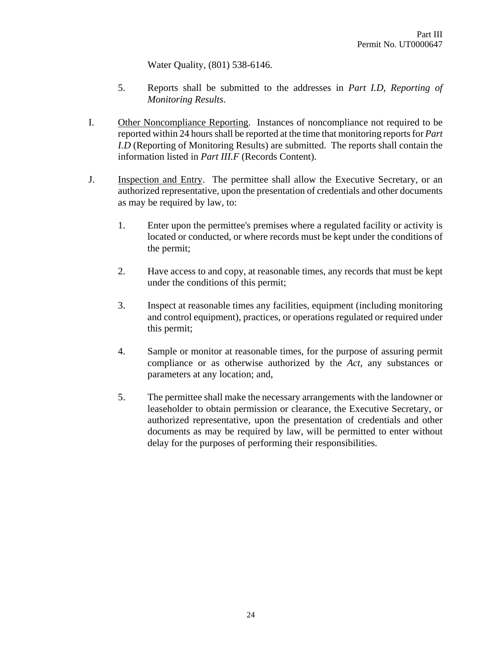Water Quality, (801) 538-6146.

- 5. Reports shall be submitted to the addresses in *Part I.D*, *Reporting of Monitoring Results*.
- I. Other Noncompliance Reporting. Instances of noncompliance not required to be reported within 24 hours shall be reported at the time that monitoring reports for *Part I.D* (Reporting of Monitoring Results) are submitted. The reports shall contain the information listed in *Part III.F* (Records Content).
- J. Inspection and Entry. The permittee shall allow the Executive Secretary, or an authorized representative, upon the presentation of credentials and other documents as may be required by law, to:
	- 1. Enter upon the permittee's premises where a regulated facility or activity is located or conducted, or where records must be kept under the conditions of the permit;
	- 2. Have access to and copy, at reasonable times, any records that must be kept under the conditions of this permit;
	- 3. Inspect at reasonable times any facilities, equipment (including monitoring and control equipment), practices, or operations regulated or required under this permit;
	- 4. Sample or monitor at reasonable times, for the purpose of assuring permit compliance or as otherwise authorized by the *Act*, any substances or parameters at any location; and,
	- 5. The permittee shall make the necessary arrangements with the landowner or leaseholder to obtain permission or clearance, the Executive Secretary, or authorized representative, upon the presentation of credentials and other documents as may be required by law, will be permitted to enter without delay for the purposes of performing their responsibilities.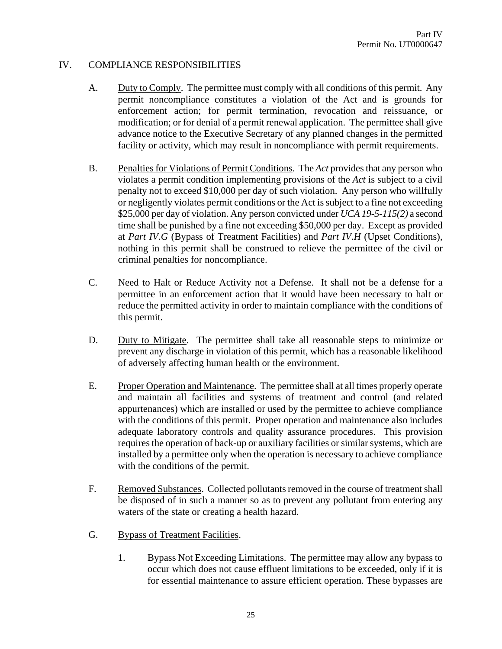# IV. COMPLIANCE RESPONSIBILITIES

- A. Duty to Comply. The permittee must comply with all conditions of this permit. Any permit noncompliance constitutes a violation of the Act and is grounds for enforcement action; for permit termination, revocation and reissuance, or modification; or for denial of a permit renewal application. The permittee shall give advance notice to the Executive Secretary of any planned changes in the permitted facility or activity, which may result in noncompliance with permit requirements.
- B. Penalties for Violations of Permit Conditions. The *Act* provides that any person who violates a permit condition implementing provisions of the *Act* is subject to a civil penalty not to exceed \$10,000 per day of such violation. Any person who willfully or negligently violates permit conditions or the Act is subject to a fine not exceeding \$25,000 per day of violation. Any person convicted under *UCA 19-5-115(2)* a second time shall be punished by a fine not exceeding \$50,000 per day. Except as provided at *Part IV.G* (Bypass of Treatment Facilities) and *Part IV.H* (Upset Conditions), nothing in this permit shall be construed to relieve the permittee of the civil or criminal penalties for noncompliance.
- C. Need to Halt or Reduce Activity not a Defense. It shall not be a defense for a permittee in an enforcement action that it would have been necessary to halt or reduce the permitted activity in order to maintain compliance with the conditions of this permit.
- D. Duty to Mitigate. The permittee shall take all reasonable steps to minimize or prevent any discharge in violation of this permit, which has a reasonable likelihood of adversely affecting human health or the environment.
- E. Proper Operation and Maintenance. The permittee shall at all times properly operate and maintain all facilities and systems of treatment and control (and related appurtenances) which are installed or used by the permittee to achieve compliance with the conditions of this permit. Proper operation and maintenance also includes adequate laboratory controls and quality assurance procedures. This provision requires the operation of back-up or auxiliary facilities or similar systems, which are installed by a permittee only when the operation is necessary to achieve compliance with the conditions of the permit.
- F. Removed Substances. Collected pollutants removed in the course of treatment shall be disposed of in such a manner so as to prevent any pollutant from entering any waters of the state or creating a health hazard.
- G. Bypass of Treatment Facilities.
	- 1. Bypass Not Exceeding Limitations. The permittee may allow any bypass to occur which does not cause effluent limitations to be exceeded, only if it is for essential maintenance to assure efficient operation. These bypasses are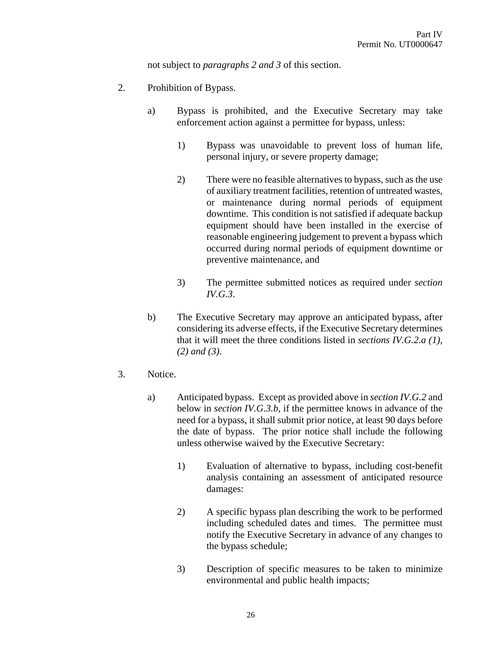not subject to *paragraphs 2 and 3* of this section.

- 2. Prohibition of Bypass.
	- a) Bypass is prohibited, and the Executive Secretary may take enforcement action against a permittee for bypass, unless:
		- 1) Bypass was unavoidable to prevent loss of human life, personal injury, or severe property damage;
		- 2) There were no feasible alternatives to bypass, such as the use of auxiliary treatment facilities, retention of untreated wastes, or maintenance during normal periods of equipment downtime. This condition is not satisfied if adequate backup equipment should have been installed in the exercise of reasonable engineering judgement to prevent a bypass which occurred during normal periods of equipment downtime or preventive maintenance, and
		- 3) The permittee submitted notices as required under *section IV.G.3*.
	- b) The Executive Secretary may approve an anticipated bypass, after considering its adverse effects, if the Executive Secretary determines that it will meet the three conditions listed in *sections IV.G.2.a (1), (2) and (3)*.
- 3. Notice.
	- a) Anticipated bypass. Except as provided above in *section IV.G.2* and below in *section IV.G.3.b*, if the permittee knows in advance of the need for a bypass, it shall submit prior notice, at least 90 days before the date of bypass. The prior notice shall include the following unless otherwise waived by the Executive Secretary:
		- 1) Evaluation of alternative to bypass, including cost-benefit analysis containing an assessment of anticipated resource damages:
		- 2) A specific bypass plan describing the work to be performed including scheduled dates and times. The permittee must notify the Executive Secretary in advance of any changes to the bypass schedule;
		- 3) Description of specific measures to be taken to minimize environmental and public health impacts;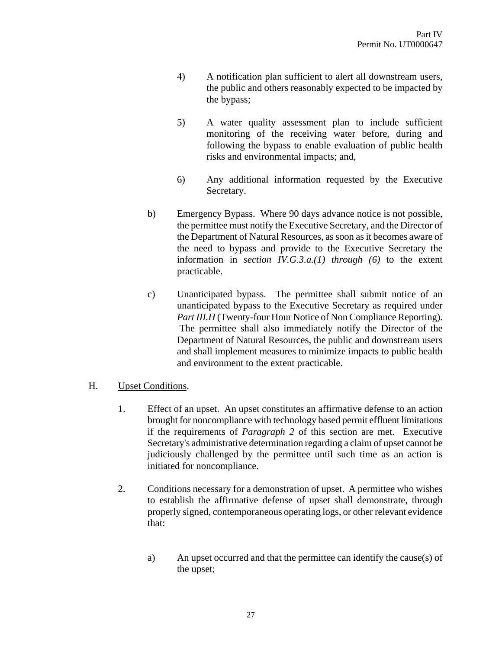- 4) A notification plan sufficient to alert all downstream users, the public and others reasonably expected to be impacted by the bypass;
- 5) A water quality assessment plan to include sufficient monitoring of the receiving water before, during and following the bypass to enable evaluation of public health risks and environmental impacts; and,
- 6) Any additional information requested by the Executive Secretary.
- b) Emergency Bypass. Where 90 days advance notice is not possible, the permittee must notify the Executive Secretary, and the Director of the Department of Natural Resources, as soon as it becomes aware of the need to bypass and provide to the Executive Secretary the information in *section IV.G.3.a.(1) through (6)* to the extent practicable.
- c) Unanticipated bypass. The permittee shall submit notice of an unanticipated bypass to the Executive Secretary as required under *Part III.H* (Twenty-four Hour Notice of Non Compliance Reporting). The permittee shall also immediately notify the Director of the Department of Natural Resources, the public and downstream users and shall implement measures to minimize impacts to public health and environment to the extent practicable.

# H. Upset Conditions.

- 1. Effect of an upset. An upset constitutes an affirmative defense to an action brought for noncompliance with technology based permit effluent limitations if the requirements of *Paragraph 2* of this section are met. Executive Secretary's administrative determination regarding a claim of upset cannot be judiciously challenged by the permittee until such time as an action is initiated for noncompliance.
- 2. Conditions necessary for a demonstration of upset. A permittee who wishes to establish the affirmative defense of upset shall demonstrate, through properly signed, contemporaneous operating logs, or other relevant evidence that:
	- a) An upset occurred and that the permittee can identify the cause(s) of the upset;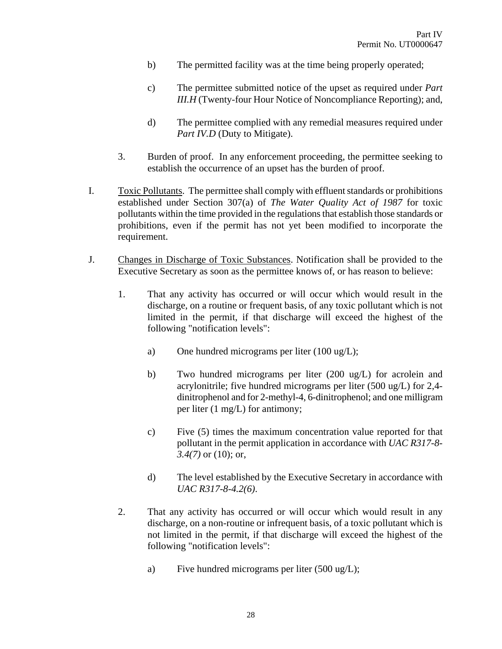- b) The permitted facility was at the time being properly operated;
- c) The permittee submitted notice of the upset as required under *Part III.H* (Twenty-four Hour Notice of Noncompliance Reporting); and,
- d) The permittee complied with any remedial measures required under *Part IV.D* (Duty to Mitigate).
- 3. Burden of proof. In any enforcement proceeding, the permittee seeking to establish the occurrence of an upset has the burden of proof.
- I. Toxic Pollutants. The permittee shall comply with effluent standards or prohibitions established under Section 307(a) of *The Water Quality Act of 1987* for toxic pollutants within the time provided in the regulations that establish those standards or prohibitions, even if the permit has not yet been modified to incorporate the requirement.
- J. Changes in Discharge of Toxic Substances. Notification shall be provided to the Executive Secretary as soon as the permittee knows of, or has reason to believe:
	- 1. That any activity has occurred or will occur which would result in the discharge, on a routine or frequent basis, of any toxic pollutant which is not limited in the permit, if that discharge will exceed the highest of the following "notification levels":
		- a) One hundred micrograms per liter (100 ug/L);
		- b) Two hundred micrograms per liter (200 ug/L) for acrolein and acrylonitrile; five hundred micrograms per liter (500 ug/L) for 2,4 dinitrophenol and for 2-methyl-4, 6-dinitrophenol; and one milligram per liter (1 mg/L) for antimony;
		- c) Five (5) times the maximum concentration value reported for that pollutant in the permit application in accordance with *UAC R317-8- 3.4(7)* or (10); or,
		- d) The level established by the Executive Secretary in accordance with *UAC R317-8-4.2(6)*.
	- 2. That any activity has occurred or will occur which would result in any discharge, on a non-routine or infrequent basis, of a toxic pollutant which is not limited in the permit, if that discharge will exceed the highest of the following "notification levels":
		- a) Five hundred micrograms per liter (500 ug/L);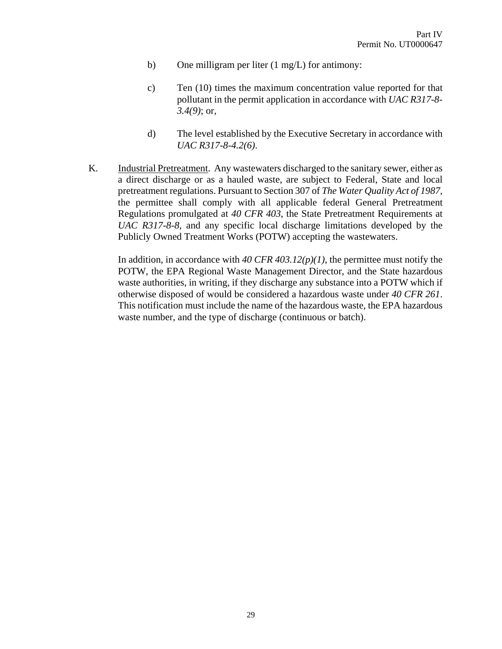- b) One milligram per liter (1 mg/L) for antimony:
- c) Ten (10) times the maximum concentration value reported for that pollutant in the permit application in accordance with *UAC R317-8- 3.4(9)*; or,
- d) The level established by the Executive Secretary in accordance with *UAC R317-8-4.2(6)*.
- K. Industrial Pretreatment. Any wastewaters discharged to the sanitary sewer, either as a direct discharge or as a hauled waste, are subject to Federal, State and local pretreatment regulations. Pursuant to Section 307 of *The Water Quality Act of 1987*, the permittee shall comply with all applicable federal General Pretreatment Regulations promulgated at *40 CFR 403*, the State Pretreatment Requirements at *UAC R317-8-8*, and any specific local discharge limitations developed by the Publicly Owned Treatment Works (POTW) accepting the wastewaters.

In addition, in accordance with *40 CFR 403.12(p)(1)*, the permittee must notify the POTW, the EPA Regional Waste Management Director, and the State hazardous waste authorities, in writing, if they discharge any substance into a POTW which if otherwise disposed of would be considered a hazardous waste under *40 CFR 261*. This notification must include the name of the hazardous waste, the EPA hazardous waste number, and the type of discharge (continuous or batch).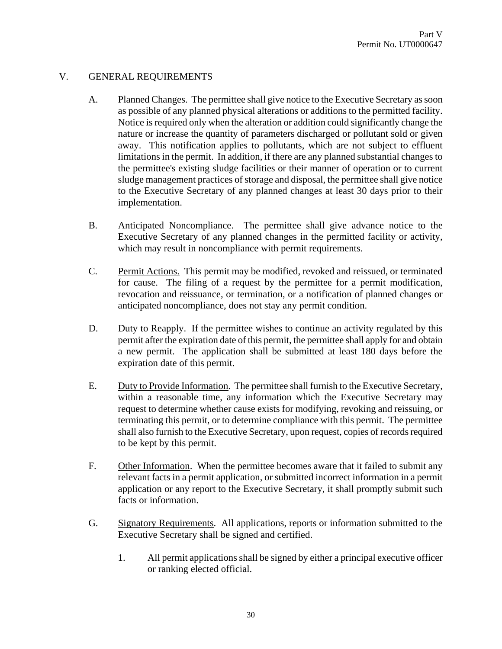# V. GENERAL REQUIREMENTS

- A. Planned Changes. The permittee shall give notice to the Executive Secretary as soon as possible of any planned physical alterations or additions to the permitted facility. Notice is required only when the alteration or addition could significantly change the nature or increase the quantity of parameters discharged or pollutant sold or given away. This notification applies to pollutants, which are not subject to effluent limitations in the permit. In addition, if there are any planned substantial changes to the permittee's existing sludge facilities or their manner of operation or to current sludge management practices of storage and disposal, the permittee shall give notice to the Executive Secretary of any planned changes at least 30 days prior to their implementation.
- B. Anticipated Noncompliance. The permittee shall give advance notice to the Executive Secretary of any planned changes in the permitted facility or activity, which may result in noncompliance with permit requirements.
- C. Permit Actions. This permit may be modified, revoked and reissued, or terminated for cause. The filing of a request by the permittee for a permit modification, revocation and reissuance, or termination, or a notification of planned changes or anticipated noncompliance, does not stay any permit condition.
- D. Duty to Reapply. If the permittee wishes to continue an activity regulated by this permit after the expiration date of this permit, the permittee shall apply for and obtain a new permit. The application shall be submitted at least 180 days before the expiration date of this permit.
- E. Duty to Provide Information. The permittee shall furnish to the Executive Secretary, within a reasonable time, any information which the Executive Secretary may request to determine whether cause exists for modifying, revoking and reissuing, or terminating this permit, or to determine compliance with this permit. The permittee shall also furnish to the Executive Secretary, upon request, copies of records required to be kept by this permit.
- F. Other Information. When the permittee becomes aware that it failed to submit any relevant facts in a permit application, or submitted incorrect information in a permit application or any report to the Executive Secretary, it shall promptly submit such facts or information.
- G. Signatory Requirements. All applications, reports or information submitted to the Executive Secretary shall be signed and certified.
	- 1. All permit applications shall be signed by either a principal executive officer or ranking elected official.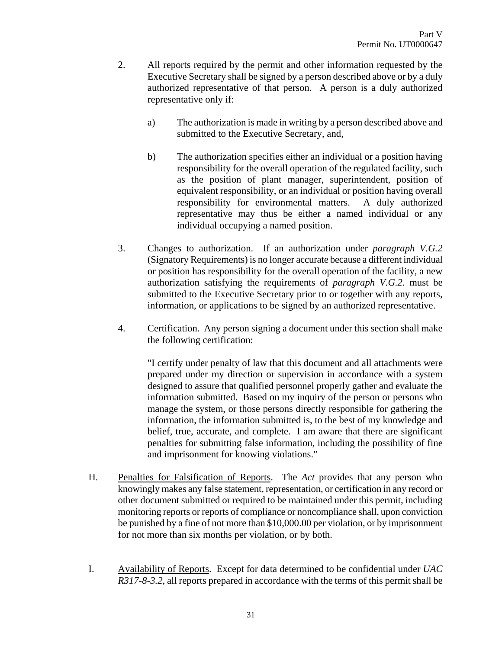- 2. All reports required by the permit and other information requested by the Executive Secretary shall be signed by a person described above or by a duly authorized representative of that person. A person is a duly authorized representative only if:
	- a) The authorization is made in writing by a person described above and submitted to the Executive Secretary, and,
	- b) The authorization specifies either an individual or a position having responsibility for the overall operation of the regulated facility, such as the position of plant manager, superintendent, position of equivalent responsibility, or an individual or position having overall responsibility for environmental matters. A duly authorized representative may thus be either a named individual or any individual occupying a named position.
- 3. Changes to authorization. If an authorization under *paragraph V.G.2* (Signatory Requirements) is no longer accurate because a different individual or position has responsibility for the overall operation of the facility, a new authorization satisfying the requirements of *paragraph V.G.2.* must be submitted to the Executive Secretary prior to or together with any reports, information, or applications to be signed by an authorized representative.
- 4. Certification. Any person signing a document under this section shall make the following certification:

"I certify under penalty of law that this document and all attachments were prepared under my direction or supervision in accordance with a system designed to assure that qualified personnel properly gather and evaluate the information submitted. Based on my inquiry of the person or persons who manage the system, or those persons directly responsible for gathering the information, the information submitted is, to the best of my knowledge and belief, true, accurate, and complete. I am aware that there are significant penalties for submitting false information, including the possibility of fine and imprisonment for knowing violations."

- H. Penalties for Falsification of Reports. The *Act* provides that any person who knowingly makes any false statement, representation, or certification in any record or other document submitted or required to be maintained under this permit, including monitoring reports or reports of compliance or noncompliance shall, upon conviction be punished by a fine of not more than \$10,000.00 per violation, or by imprisonment for not more than six months per violation, or by both.
- I. Availability of Reports. Except for data determined to be confidential under *UAC R317-8-3.2*, all reports prepared in accordance with the terms of this permit shall be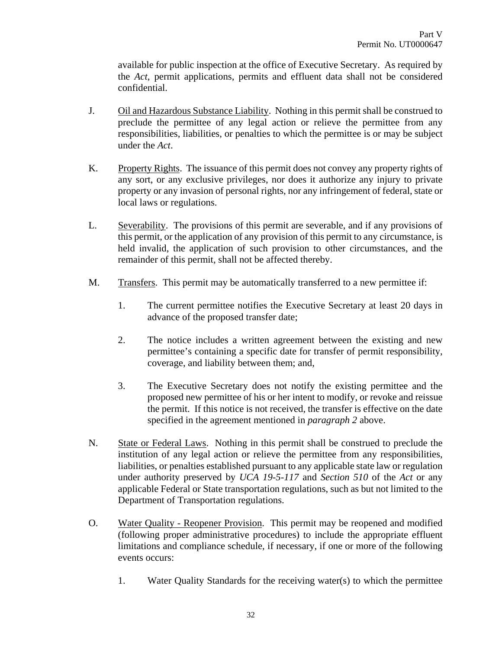available for public inspection at the office of Executive Secretary. As required by the *Act*, permit applications, permits and effluent data shall not be considered confidential.

- J. Oil and Hazardous Substance Liability. Nothing in this permit shall be construed to preclude the permittee of any legal action or relieve the permittee from any responsibilities, liabilities, or penalties to which the permittee is or may be subject under the *Act*.
- K. Property Rights. The issuance of this permit does not convey any property rights of any sort, or any exclusive privileges, nor does it authorize any injury to private property or any invasion of personal rights, nor any infringement of federal, state or local laws or regulations.
- L. Severability. The provisions of this permit are severable, and if any provisions of this permit, or the application of any provision of this permit to any circumstance, is held invalid, the application of such provision to other circumstances, and the remainder of this permit, shall not be affected thereby.
- M. Transfers. This permit may be automatically transferred to a new permittee if:
	- 1. The current permittee notifies the Executive Secretary at least 20 days in advance of the proposed transfer date;
	- 2. The notice includes a written agreement between the existing and new permittee's containing a specific date for transfer of permit responsibility, coverage, and liability between them; and,
	- 3. The Executive Secretary does not notify the existing permittee and the proposed new permittee of his or her intent to modify, or revoke and reissue the permit. If this notice is not received, the transfer is effective on the date specified in the agreement mentioned in *paragraph 2* above.
- N. State or Federal Laws. Nothing in this permit shall be construed to preclude the institution of any legal action or relieve the permittee from any responsibilities, liabilities, or penalties established pursuant to any applicable state law or regulation under authority preserved by *UCA 19-5-117* and *Section 510* of the *Act* or any applicable Federal or State transportation regulations, such as but not limited to the Department of Transportation regulations.
- O. Water Quality Reopener Provision. This permit may be reopened and modified (following proper administrative procedures) to include the appropriate effluent limitations and compliance schedule, if necessary, if one or more of the following events occurs:
	- 1. Water Quality Standards for the receiving water(s) to which the permittee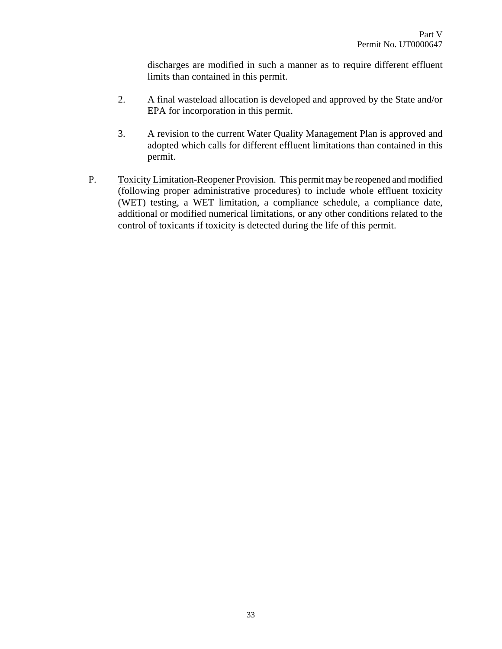discharges are modified in such a manner as to require different effluent limits than contained in this permit.

- 2. A final wasteload allocation is developed and approved by the State and/or EPA for incorporation in this permit.
- 3. A revision to the current Water Quality Management Plan is approved and adopted which calls for different effluent limitations than contained in this permit.
- P. Toxicity Limitation-Reopener Provision. This permit may be reopened and modified (following proper administrative procedures) to include whole effluent toxicity (WET) testing, a WET limitation, a compliance schedule, a compliance date, additional or modified numerical limitations, or any other conditions related to the control of toxicants if toxicity is detected during the life of this permit.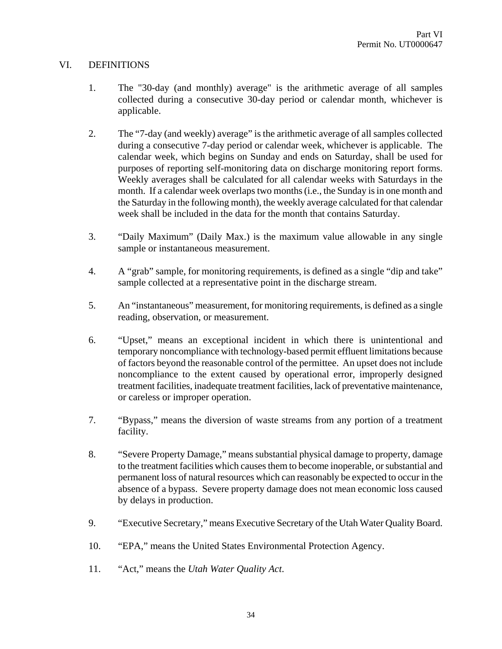# VI. DEFINITIONS

- 1. The "30-day (and monthly) average" is the arithmetic average of all samples collected during a consecutive 30-day period or calendar month, whichever is applicable.
- 2. The "7-day (and weekly) average" is the arithmetic average of all samples collected during a consecutive 7-day period or calendar week, whichever is applicable. The calendar week, which begins on Sunday and ends on Saturday, shall be used for purposes of reporting self-monitoring data on discharge monitoring report forms. Weekly averages shall be calculated for all calendar weeks with Saturdays in the month. If a calendar week overlaps two months (i.e., the Sunday is in one month and the Saturday in the following month), the weekly average calculated for that calendar week shall be included in the data for the month that contains Saturday.
- 3. "Daily Maximum" (Daily Max.) is the maximum value allowable in any single sample or instantaneous measurement.
- 4. A "grab" sample, for monitoring requirements, is defined as a single "dip and take" sample collected at a representative point in the discharge stream.
- 5. An "instantaneous" measurement, for monitoring requirements, is defined as a single reading, observation, or measurement.
- 6. "Upset," means an exceptional incident in which there is unintentional and temporary noncompliance with technology-based permit effluent limitations because of factors beyond the reasonable control of the permittee. An upset does not include noncompliance to the extent caused by operational error, improperly designed treatment facilities, inadequate treatment facilities, lack of preventative maintenance, or careless or improper operation.
- 7. "Bypass," means the diversion of waste streams from any portion of a treatment facility.
- 8. "Severe Property Damage," means substantial physical damage to property, damage to the treatment facilities which causes them to become inoperable, or substantial and permanent loss of natural resources which can reasonably be expected to occur in the absence of a bypass. Severe property damage does not mean economic loss caused by delays in production.
- 9. "Executive Secretary," means Executive Secretary of the Utah Water Quality Board.
- 10. "EPA," means the United States Environmental Protection Agency.
- 11. "Act," means the *Utah Water Quality Act*.